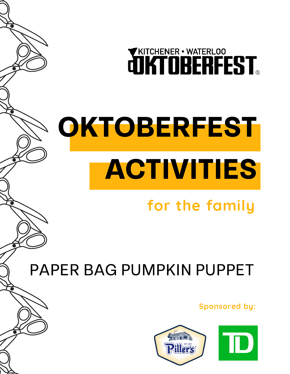**QUATOBER-WATERLOO** 

# OKTOBERFEST ACTIVITIES

## **for the family**

PAPER BAG PUMPKIN PUPPET

**Sponsored by:**